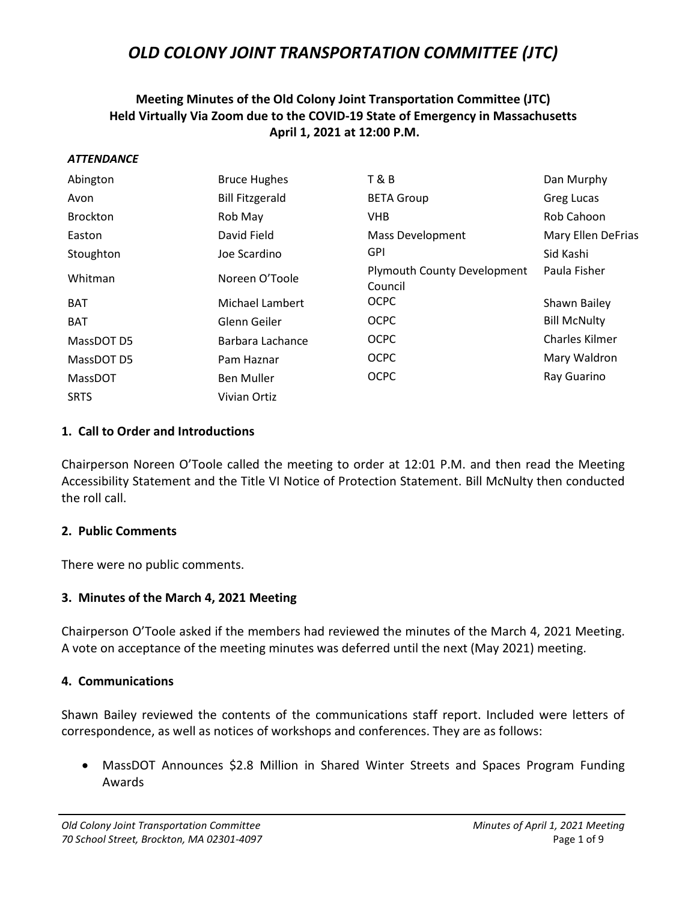### **Meeting Minutes of the Old Colony Joint Transportation Committee (JTC) Held Virtually Via Zoom due to the COVID-19 State of Emergency in Massachusetts April 1, 2021 at 12:00 P.M.**

#### *ATTENDANCE*

| Abington        | <b>Bruce Hughes</b>    | <b>T&amp;B</b>                                | Dan Murphy            |
|-----------------|------------------------|-----------------------------------------------|-----------------------|
| Avon            | <b>Bill Fitzgerald</b> | <b>BETA Group</b>                             | Greg Lucas            |
| <b>Brockton</b> | Rob May                | <b>VHB</b>                                    | Rob Cahoon            |
| Easton          | David Field            | <b>Mass Development</b>                       | Mary Ellen DeFrias    |
| Stoughton       | Joe Scardino           | <b>GPI</b>                                    | Sid Kashi             |
| Whitman         | Noreen O'Toole         | <b>Plymouth County Development</b><br>Council | Paula Fisher          |
| <b>BAT</b>      | Michael Lambert        | <b>OCPC</b>                                   | Shawn Bailey          |
| <b>BAT</b>      | Glenn Geiler           | <b>OCPC</b>                                   | <b>Bill McNulty</b>   |
| MassDOT D5      | Barbara Lachance       | <b>OCPC</b>                                   | <b>Charles Kilmer</b> |
| MassDOT D5      | Pam Haznar             | <b>OCPC</b>                                   | Mary Waldron          |
| MassDOT         | <b>Ben Muller</b>      | <b>OCPC</b>                                   | Ray Guarino           |
| <b>SRTS</b>     | Vivian Ortiz           |                                               |                       |

#### **1. Call to Order and Introductions**

Chairperson Noreen O'Toole called the meeting to order at 12:01 P.M. and then read the Meeting Accessibility Statement and the Title VI Notice of Protection Statement. Bill McNulty then conducted the roll call.

#### **2. Public Comments**

There were no public comments.

#### **3. Minutes of the March 4, 2021 Meeting**

Chairperson O'Toole asked if the members had reviewed the minutes of the March 4, 2021 Meeting. A vote on acceptance of the meeting minutes was deferred until the next (May 2021) meeting.

#### **4. Communications**

Shawn Bailey reviewed the contents of the communications staff report. Included were letters of correspondence, as well as notices of workshops and conferences. They are as follows:

• MassDOT Announces \$2.8 Million in Shared Winter Streets and Spaces Program Funding Awards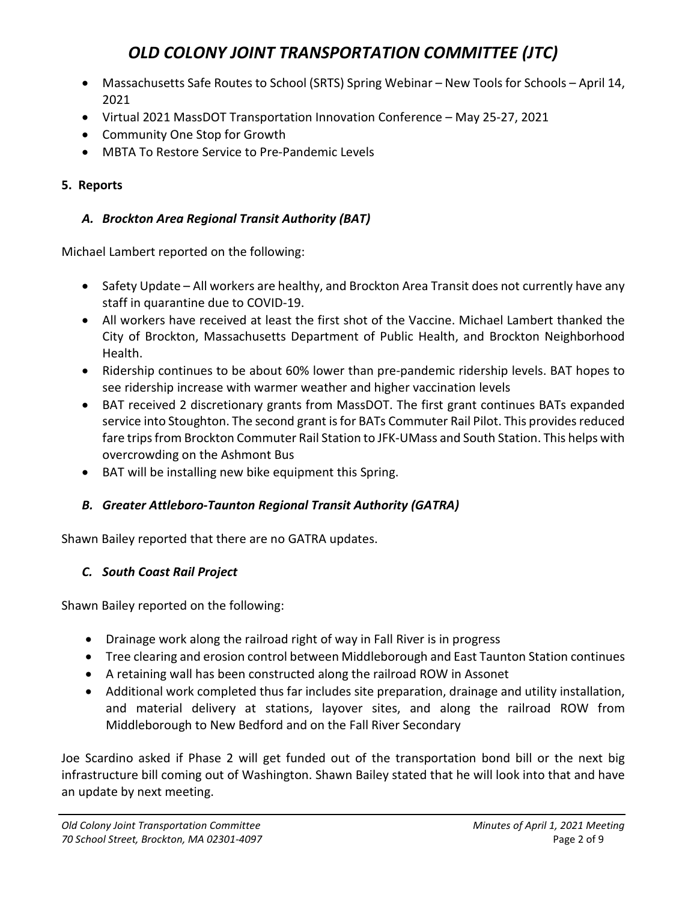- Massachusetts Safe Routes to School (SRTS) Spring Webinar New Tools for Schools April 14, 2021
- Virtual 2021 MassDOT Transportation Innovation Conference May 25-27, 2021
- Community One Stop for Growth
- MBTA To Restore Service to Pre-Pandemic Levels

## **5. Reports**

## *A. Brockton Area Regional Transit Authority (BAT)*

Michael Lambert reported on the following:

- Safety Update All workers are healthy, and Brockton Area Transit does not currently have any staff in quarantine due to COVID-19.
- All workers have received at least the first shot of the Vaccine. Michael Lambert thanked the City of Brockton, Massachusetts Department of Public Health, and Brockton Neighborhood Health.
- Ridership continues to be about 60% lower than pre-pandemic ridership levels. BAT hopes to see ridership increase with warmer weather and higher vaccination levels
- BAT received 2 discretionary grants from MassDOT. The first grant continues BATs expanded service into Stoughton. The second grant is for BATs Commuter Rail Pilot. This provides reduced fare trips from Brockton Commuter Rail Station to JFK-UMass and South Station. This helps with overcrowding on the Ashmont Bus
- BAT will be installing new bike equipment this Spring.

## *B. Greater Attleboro-Taunton Regional Transit Authority (GATRA)*

Shawn Bailey reported that there are no GATRA updates.

## *C. South Coast Rail Project*

Shawn Bailey reported on the following:

- Drainage work along the railroad right of way in Fall River is in progress
- Tree clearing and erosion control between Middleborough and East Taunton Station continues
- A retaining wall has been constructed along the railroad ROW in Assonet
- Additional work completed thus far includes site preparation, drainage and utility installation, and material delivery at stations, layover sites, and along the railroad ROW from Middleborough to New Bedford and on the Fall River Secondary

Joe Scardino asked if Phase 2 will get funded out of the transportation bond bill or the next big infrastructure bill coming out of Washington. Shawn Bailey stated that he will look into that and have an update by next meeting.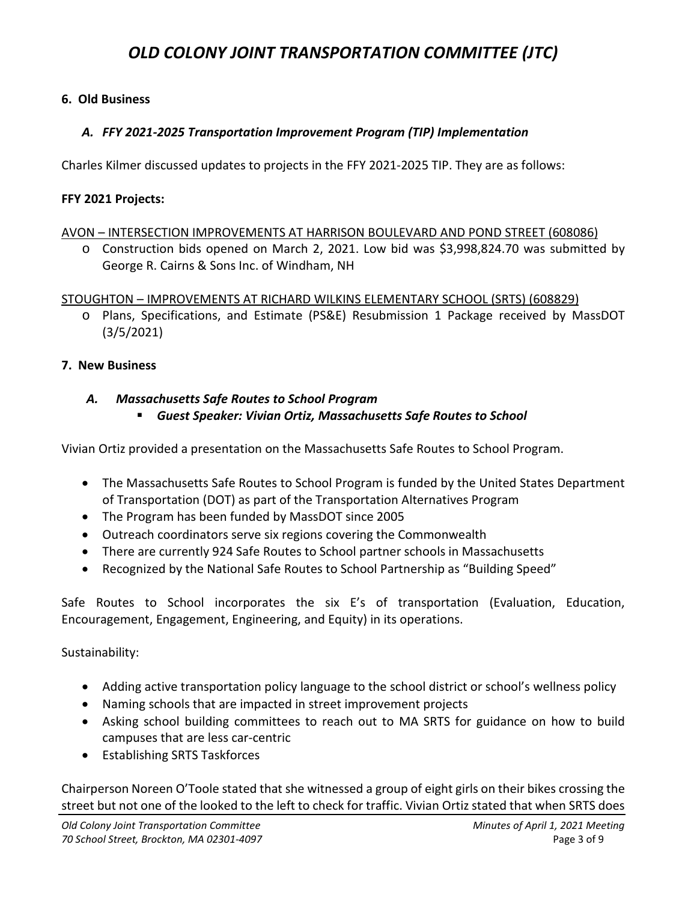#### **6. Old Business**

#### *A. FFY 2021-2025 Transportation Improvement Program (TIP) Implementation*

Charles Kilmer discussed updates to projects in the FFY 2021-2025 TIP. They are as follows:

#### **FFY 2021 Projects:**

#### AVON – INTERSECTION IMPROVEMENTS AT HARRISON BOULEVARD AND POND STREET (608086)

o Construction bids opened on March 2, 2021. Low bid was \$3,998,824.70 was submitted by George R. Cairns & Sons Inc. of Windham, NH

#### STOUGHTON – IMPROVEMENTS AT RICHARD WILKINS ELEMENTARY SCHOOL (SRTS) (608829)

o Plans, Specifications, and Estimate (PS&E) Resubmission 1 Package received by MassDOT (3/5/2021)

#### **7. New Business**

#### *A. Massachusetts Safe Routes to School Program*

*Guest Speaker: Vivian Ortiz, Massachusetts Safe Routes to School*

Vivian Ortiz provided a presentation on the Massachusetts Safe Routes to School Program.

- The Massachusetts Safe Routes to School Program is funded by the United States Department of Transportation (DOT) as part of the Transportation Alternatives Program
- The Program has been funded by MassDOT since 2005
- Outreach coordinators serve six regions covering the Commonwealth
- There are currently 924 Safe Routes to School partner schools in Massachusetts
- Recognized by the National Safe Routes to School Partnership as "Building Speed"

Safe Routes to School incorporates the six E's of transportation (Evaluation, Education, Encouragement, Engagement, Engineering, and Equity) in its operations.

#### Sustainability:

- Adding active transportation policy language to the school district or school's wellness policy
- Naming schools that are impacted in street improvement projects
- Asking school building committees to reach out to MA SRTS for guidance on how to build campuses that are less car-centric
- Establishing SRTS Taskforces

Chairperson Noreen O'Toole stated that she witnessed a group of eight girls on their bikes crossing the street but not one of the looked to the left to check for traffic. Vivian Ortiz stated that when SRTS does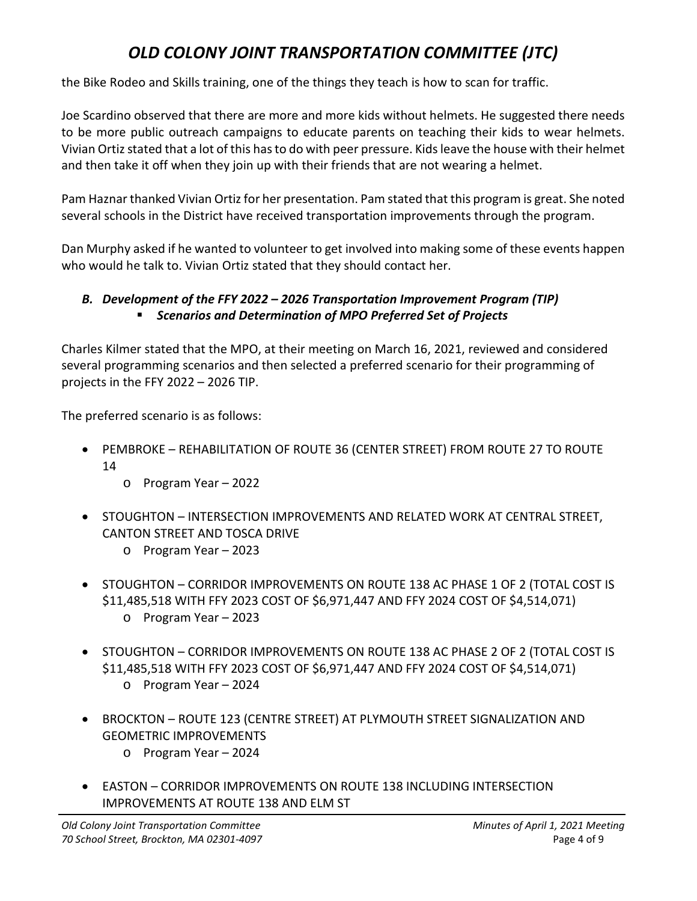the Bike Rodeo and Skills training, one of the things they teach is how to scan for traffic.

Joe Scardino observed that there are more and more kids without helmets. He suggested there needs to be more public outreach campaigns to educate parents on teaching their kids to wear helmets. Vivian Ortiz stated that a lot of this has to do with peer pressure. Kids leave the house with their helmet and then take it off when they join up with their friends that are not wearing a helmet.

Pam Haznar thanked Vivian Ortiz for her presentation. Pam stated that this program is great. She noted several schools in the District have received transportation improvements through the program.

Dan Murphy asked if he wanted to volunteer to get involved into making some of these events happen who would he talk to. Vivian Ortiz stated that they should contact her.

### *B. Development of the FFY 2022 – 2026 Transportation Improvement Program (TIP) Scenarios and Determination of MPO Preferred Set of Projects*

Charles Kilmer stated that the MPO, at their meeting on March 16, 2021, reviewed and considered several programming scenarios and then selected a preferred scenario for their programming of projects in the FFY 2022 – 2026 TIP.

The preferred scenario is as follows:

- PEMBROKE REHABILITATION OF ROUTE 36 (CENTER STREET) FROM ROUTE 27 TO ROUTE 14
	- o Program Year 2022
- STOUGHTON INTERSECTION IMPROVEMENTS AND RELATED WORK AT CENTRAL STREET, CANTON STREET AND TOSCA DRIVE
	- o Program Year 2023
- STOUGHTON CORRIDOR IMPROVEMENTS ON ROUTE 138 AC PHASE 1 OF 2 (TOTAL COST IS \$11,485,518 WITH FFY 2023 COST OF \$6,971,447 AND FFY 2024 COST OF \$4,514,071) o Program Year – 2023
- STOUGHTON CORRIDOR IMPROVEMENTS ON ROUTE 138 AC PHASE 2 OF 2 (TOTAL COST IS \$11,485,518 WITH FFY 2023 COST OF \$6,971,447 AND FFY 2024 COST OF \$4,514,071) o Program Year – 2024
- BROCKTON ROUTE 123 (CENTRE STREET) AT PLYMOUTH STREET SIGNALIZATION AND GEOMETRIC IMPROVEMENTS
	- o Program Year 2024
- EASTON CORRIDOR IMPROVEMENTS ON ROUTE 138 INCLUDING INTERSECTION IMPROVEMENTS AT ROUTE 138 AND ELM ST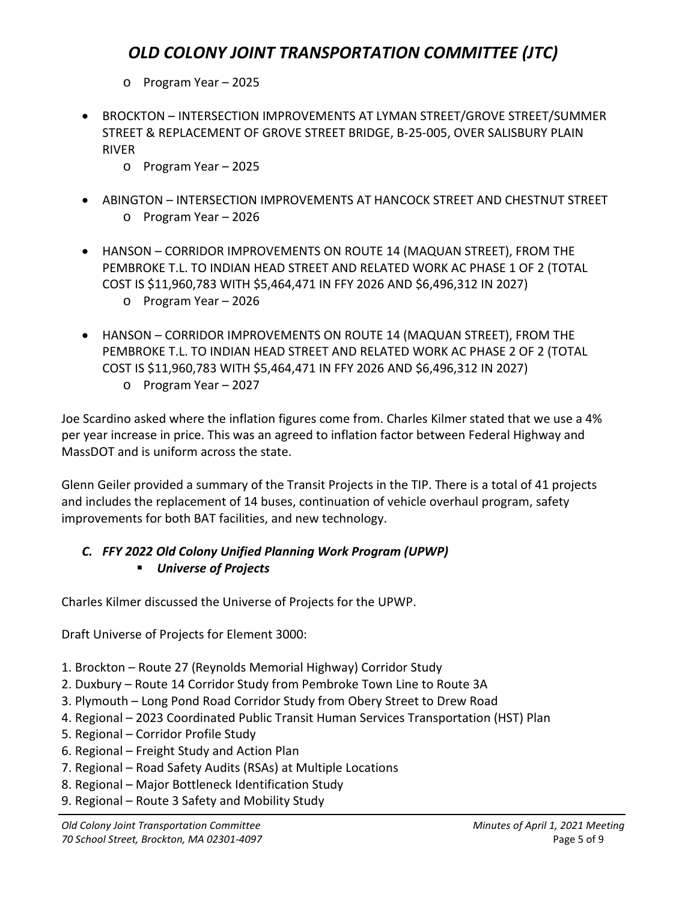- o Program Year 2025
- BROCKTON INTERSECTION IMPROVEMENTS AT LYMAN STREET/GROVE STREET/SUMMER STREET & REPLACEMENT OF GROVE STREET BRIDGE, B-25-005, OVER SALISBURY PLAIN RIVER
	- o Program Year 2025
- ABINGTON INTERSECTION IMPROVEMENTS AT HANCOCK STREET AND CHESTNUT STREET o Program Year – 2026
- HANSON CORRIDOR IMPROVEMENTS ON ROUTE 14 (MAQUAN STREET), FROM THE PEMBROKE T.L. TO INDIAN HEAD STREET AND RELATED WORK AC PHASE 1 OF 2 (TOTAL COST IS \$11,960,783 WITH \$5,464,471 IN FFY 2026 AND \$6,496,312 IN 2027) o Program Year – 2026
- HANSON CORRIDOR IMPROVEMENTS ON ROUTE 14 (MAQUAN STREET), FROM THE PEMBROKE T.L. TO INDIAN HEAD STREET AND RELATED WORK AC PHASE 2 OF 2 (TOTAL COST IS \$11,960,783 WITH \$5,464,471 IN FFY 2026 AND \$6,496,312 IN 2027)
	- o Program Year 2027

Joe Scardino asked where the inflation figures come from. Charles Kilmer stated that we use a 4% per year increase in price. This was an agreed to inflation factor between Federal Highway and MassDOT and is uniform across the state.

Glenn Geiler provided a summary of the Transit Projects in the TIP. There is a total of 41 projects and includes the replacement of 14 buses, continuation of vehicle overhaul program, safety improvements for both BAT facilities, and new technology.

### *C. FFY 2022 Old Colony Unified Planning Work Program (UPWP) Universe of Projects*

Charles Kilmer discussed the Universe of Projects for the UPWP.

Draft Universe of Projects for Element 3000:

- 1. Brockton Route 27 (Reynolds Memorial Highway) Corridor Study
- 2. Duxbury Route 14 Corridor Study from Pembroke Town Line to Route 3A
- 3. Plymouth Long Pond Road Corridor Study from Obery Street to Drew Road
- 4. Regional 2023 Coordinated Public Transit Human Services Transportation (HST) Plan
- 5. Regional Corridor Profile Study
- 6. Regional Freight Study and Action Plan
- 7. Regional Road Safety Audits (RSAs) at Multiple Locations
- 8. Regional Major Bottleneck Identification Study
- 9. Regional Route 3 Safety and Mobility Study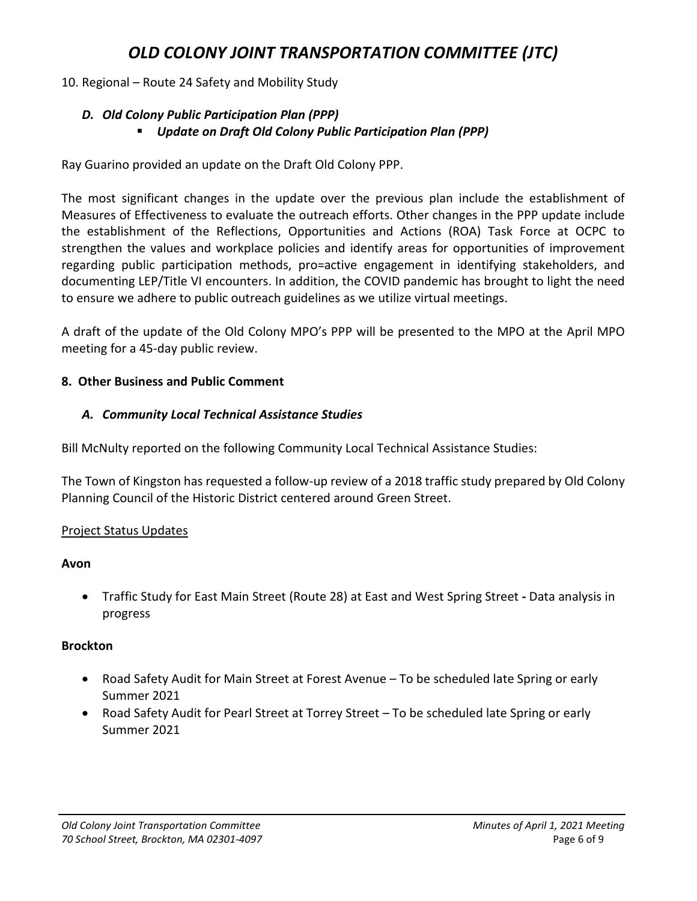#### 10. Regional – Route 24 Safety and Mobility Study

#### *D. Old Colony Public Participation Plan (PPP) Update on Draft Old Colony Public Participation Plan (PPP)*

Ray Guarino provided an update on the Draft Old Colony PPP.

The most significant changes in the update over the previous plan include the establishment of Measures of Effectiveness to evaluate the outreach efforts. Other changes in the PPP update include the establishment of the Reflections, Opportunities and Actions (ROA) Task Force at OCPC to strengthen the values and workplace policies and identify areas for opportunities of improvement regarding public participation methods, pro=active engagement in identifying stakeholders, and documenting LEP/Title VI encounters. In addition, the COVID pandemic has brought to light the need to ensure we adhere to public outreach guidelines as we utilize virtual meetings.

A draft of the update of the Old Colony MPO's PPP will be presented to the MPO at the April MPO meeting for a 45-day public review.

#### **8. Other Business and Public Comment**

#### *A. Community Local Technical Assistance Studies*

Bill McNulty reported on the following Community Local Technical Assistance Studies:

The Town of Kingston has requested a follow-up review of a 2018 traffic study prepared by Old Colony Planning Council of the Historic District centered around Green Street.

#### Project Status Updates

#### **Avon**

• Traffic Study for East Main Street (Route 28) at East and West Spring Street **-** Data analysis in progress

#### **Brockton**

- Road Safety Audit for Main Street at Forest Avenue To be scheduled late Spring or early Summer 2021
- Road Safety Audit for Pearl Street at Torrey Street To be scheduled late Spring or early Summer 2021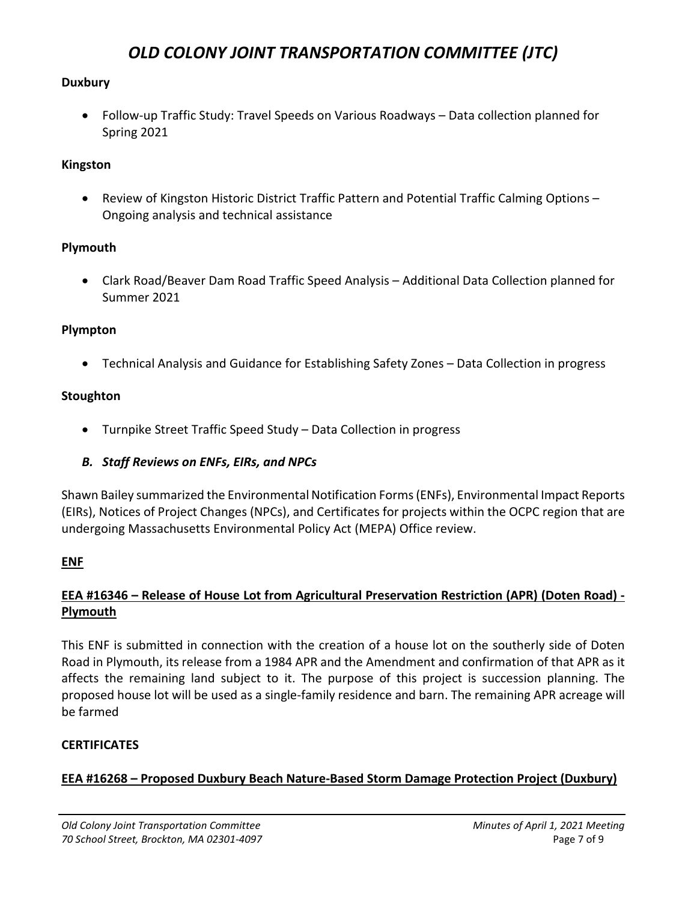#### **Duxbury**

• Follow-up Traffic Study: Travel Speeds on Various Roadways – Data collection planned for Spring 2021

### **Kingston**

• Review of Kingston Historic District Traffic Pattern and Potential Traffic Calming Options – Ongoing analysis and technical assistance

### **Plymouth**

• Clark Road/Beaver Dam Road Traffic Speed Analysis – Additional Data Collection planned for Summer 2021

### **Plympton**

• Technical Analysis and Guidance for Establishing Safety Zones – Data Collection in progress

#### **Stoughton**

- Turnpike Street Traffic Speed Study Data Collection in progress
- *B. Staff Reviews on ENFs, EIRs, and NPCs*

Shawn Bailey summarized the Environmental Notification Forms (ENFs), Environmental Impact Reports (EIRs), Notices of Project Changes (NPCs), and Certificates for projects within the OCPC region that are undergoing Massachusetts Environmental Policy Act (MEPA) Office review.

### **ENF**

### **EEA #16346 – Release of House Lot from Agricultural Preservation Restriction (APR) (Doten Road) - Plymouth**

This ENF is submitted in connection with the creation of a house lot on the southerly side of Doten Road in Plymouth, its release from a 1984 APR and the Amendment and confirmation of that APR as it affects the remaining land subject to it. The purpose of this project is succession planning. The proposed house lot will be used as a single-family residence and barn. The remaining APR acreage will be farmed

### **CERTIFICATES**

### **EEA #16268 – Proposed Duxbury Beach Nature-Based Storm Damage Protection Project (Duxbury)**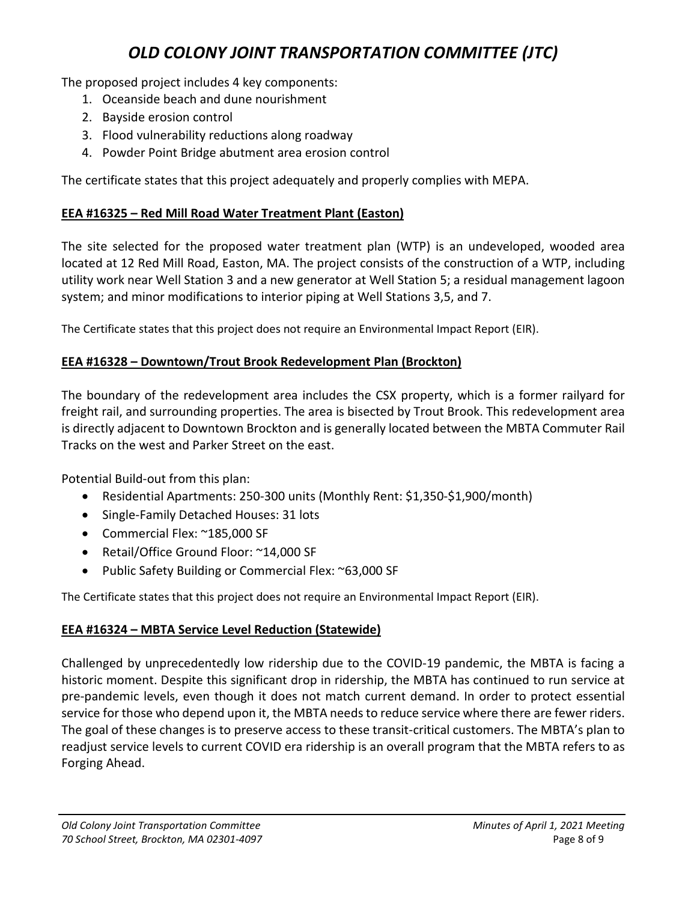The proposed project includes 4 key components:

- 1. Oceanside beach and dune nourishment
- 2. Bayside erosion control
- 3. Flood vulnerability reductions along roadway
- 4. Powder Point Bridge abutment area erosion control

The certificate states that this project adequately and properly complies with MEPA.

## **EEA #16325 – Red Mill Road Water Treatment Plant (Easton)**

The site selected for the proposed water treatment plan (WTP) is an undeveloped, wooded area located at 12 Red Mill Road, Easton, MA. The project consists of the construction of a WTP, including utility work near Well Station 3 and a new generator at Well Station 5; a residual management lagoon system; and minor modifications to interior piping at Well Stations 3,5, and 7.

The Certificate states that this project does not require an Environmental Impact Report (EIR).

### **EEA #16328 – Downtown/Trout Brook Redevelopment Plan (Brockton)**

The boundary of the redevelopment area includes the CSX property, which is a former railyard for freight rail, and surrounding properties. The area is bisected by Trout Brook. This redevelopment area is directly adjacent to Downtown Brockton and is generally located between the MBTA Commuter Rail Tracks on the west and Parker Street on the east.

Potential Build-out from this plan:

- Residential Apartments: 250-300 units (Monthly Rent: \$1,350-\$1,900/month)
- Single-Family Detached Houses: 31 lots
- Commercial Flex: ~185,000 SF
- Retail/Office Ground Floor: ~14,000 SF
- Public Safety Building or Commercial Flex: ~63,000 SF

The Certificate states that this project does not require an Environmental Impact Report (EIR).

### **EEA #16324 – MBTA Service Level Reduction (Statewide)**

Challenged by unprecedentedly low ridership due to the COVID-19 pandemic, the MBTA is facing a historic moment. Despite this significant drop in ridership, the MBTA has continued to run service at pre-pandemic levels, even though it does not match current demand. In order to protect essential service for those who depend upon it, the MBTA needs to reduce service where there are fewer riders. The goal of these changes is to preserve access to these transit-critical customers. The MBTA's plan to readjust service levels to current COVID era ridership is an overall program that the MBTA refers to as Forging Ahead.